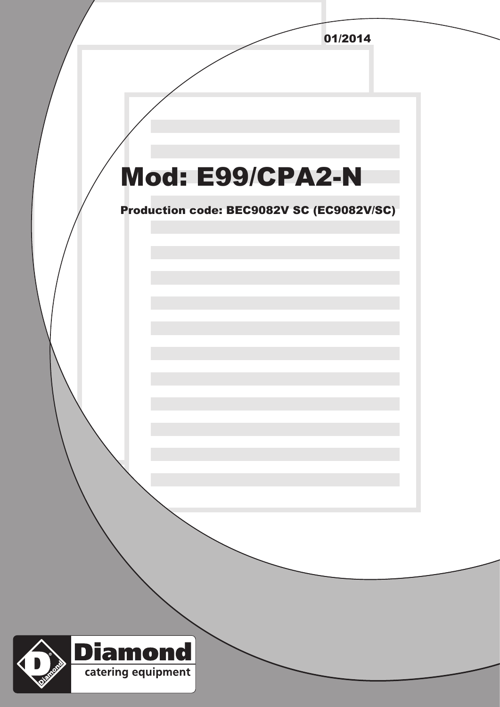|                                           | 01/2014 |
|-------------------------------------------|---------|
|                                           |         |
|                                           |         |
|                                           |         |
|                                           |         |
|                                           |         |
| Mod: E99/CPA2-N                           |         |
|                                           |         |
| Production code: BEC9082V SC (EC9082V/SC) |         |
|                                           |         |
|                                           |         |
|                                           |         |
|                                           |         |
|                                           |         |
|                                           |         |
|                                           |         |
|                                           |         |
|                                           |         |
|                                           |         |
|                                           |         |
|                                           |         |
|                                           |         |
|                                           |         |
|                                           |         |
|                                           |         |
|                                           |         |
|                                           |         |
| <b>Diamond</b>                            |         |
| Civilization of<br>catering equipment     |         |
|                                           |         |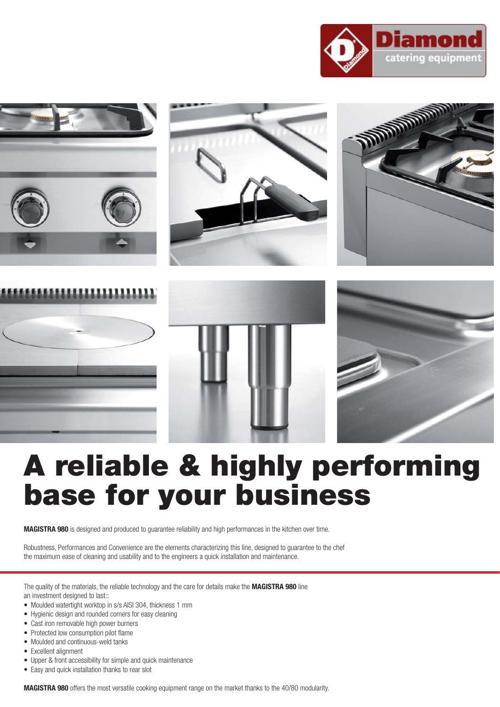



## **A reliable & highly performing base for your business**

**MAGISTRA 980** is designed and produced to guarantee reliability and high performances in the kitchen over time.

Robustness, Performances and Convenience are the elements characterizing this line, designed to guarantee to the chef the maximum ease of cleaning and usability and to the engineers a quick installation and maintenance.

The quality of the materials, the reliable technology and the care for details make the **MAGISTRA 980** line an investment designed to last::

- Moulded watertight worktop in s/s AISI 304, thickness 1 mm
- Hygienic design and rounded corners for easy cleaning
- Cast iron removable high power burners
- Protected low consumption pilot flame
- Moulded and continuous-weld tanks
- Excellent alignment
- Upper & front accessibility for simple and quick maintenance
- Easy and quick installation thanks to rear slot

**MAGISTRA 980** offers the most versatile cooking equipment range on the market thanks to the 40/80 modularity.